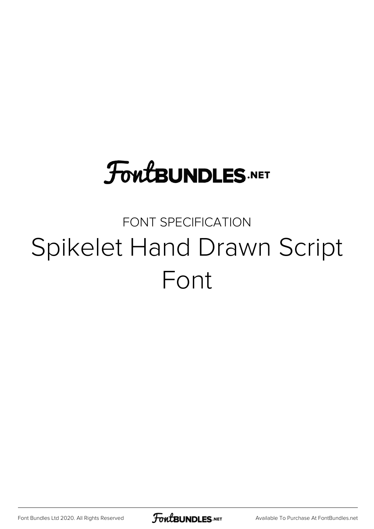# **FoutBUNDLES.NET**

## FONT SPECIFICATION Spikelet Hand Drawn Script Font

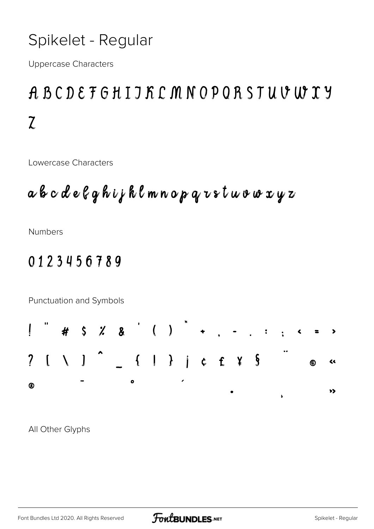### Spikelet - Regular

**Uppercase Characters** 

### ABCDEFGHIJKCMNOPQRSTUVWXY  $\overline{L}$

Lowercase Characters

**Numbers** 

#### 0123456789

Punctuation and Symbols



All Other Glyphs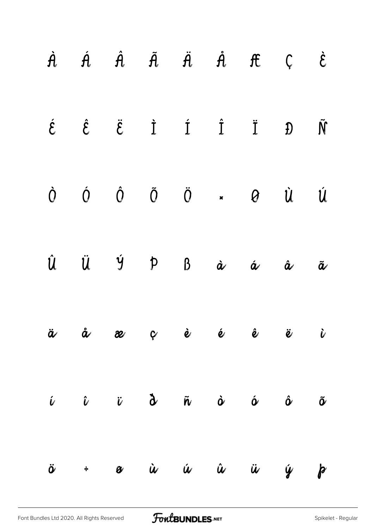|  |  | $\dot{A}$ $\dot{A}$ $\dot{A}$ $\ddot{A}$ $\ddot{A}$ $\dot{A}$ $\ddot{C}$ $\dot{C}$ |                                                                                                                                                    |                          |
|--|--|------------------------------------------------------------------------------------|----------------------------------------------------------------------------------------------------------------------------------------------------|--------------------------|
|  |  |                                                                                    | $\label{eq:2.1} \begin{array}{cccccccccccccc} \acute{c} & \hat{c} & \ddot{c} & \dot{1} & \dot{1} & \dot{1} & \dot{1} & \dot{0} \end{array}$        |                          |
|  |  |                                                                                    | $\begin{matrix} \dot O & \dot O & \dot O & \ddot O & \star & \bullet & \dot U & \dot U \end{matrix}$                                               |                          |
|  |  |                                                                                    | $\hat{U}$ $\ddot{U}$ $\dot{Y}$ $\beta$ $\dot{\alpha}$ $\dot{\alpha}$ $\dot{\alpha}$                                                                | $\tilde{\boldsymbol{a}}$ |
|  |  |                                                                                    | ä å æ ç è é ê ë i                                                                                                                                  |                          |
|  |  |                                                                                    | $\hat{\nu}$ $\hat{\nu}$ $\hat{\nu}$ $\hat{\sigma}$ $\hat{\nu}$ $\hat{\nu}$ $\hat{\nu}$ $\hat{\nu}$ $\hat{\nu}$ $\hat{\nu}$ $\hat{\nu}$ $\hat{\nu}$ |                          |
|  |  |                                                                                    | $\ddot{\sigma}$ + $\alpha$ $\dot{u}$ $\dot{u}$ $\dot{u}$ $\ddot{u}$ $\dot{y}$ $\beta$                                                              |                          |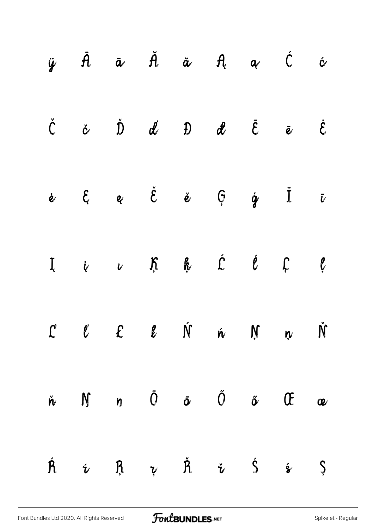|                    |                    |  |  | $\ddot{y}$ $\ddot{A}$ $\ddot{a}$ $\ddot{A}$ $\ddot{a}$ $A$ $\alpha$ $\dot{C}$ $\dot{\alpha}$                              |                       |
|--------------------|--------------------|--|--|---------------------------------------------------------------------------------------------------------------------------|-----------------------|
|                    |                    |  |  | $\check{C}$ $\check{\alpha}$ $\check{D}$ $\check{d}$ $\check{D}$ $\check{d}$ $\check{E}$ $\check{e}$ $\check{E}$          |                       |
|                    |                    |  |  | $\dot{e}$ $\theta$ $\dot{e}$ $\dot{e}$ $\dot{\theta}$ $\dot{q}$ $\dot{I}$ $\dot{v}$                                       |                       |
|                    |                    |  |  | I i v K k Ć Ć Ç Ç                                                                                                         |                       |
|                    |                    |  |  | $C$ $C$ $C$ $C$ $M$ $\dot{M}$ $N$ $N$ $N$                                                                                 |                       |
|                    |                    |  |  | $\dot{n}$ $\dot{M}$ $n$ $\ddot{O}$ $\ddot{\sigma}$ $\ddot{O}$ $\ddot{\sigma}$ $\dot{C}$                                   | $\boldsymbol{\alpha}$ |
| $\acute{\text{R}}$ | $\mathbf{\dot{v}}$ |  |  | $\mathbf{R} \quad \mathbf{v} \quad \mathbf{A} \quad \mathbf{\check{v}} \quad \mathbf{\acute{s}} \quad \mathbf{\acute{s}}$ | $\varsigma$           |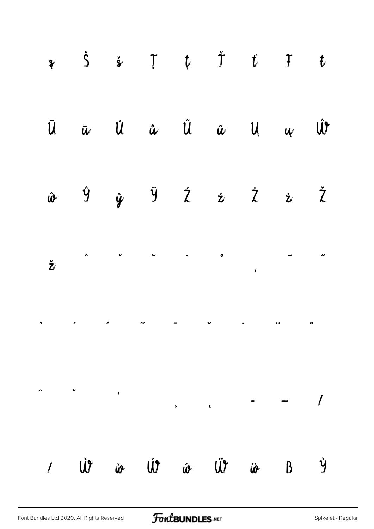| $\begin{array}{cccccccccccccc} \mathbf{\hat{y}} & \mathbf{\hat{y}} & \mathbf{\hat{z}} & \mathbf{\hat{y}} & \mathbf{\hat{y}} & \mathbf{\hat{y}} & \mathbf{\hat{y}} & \mathbf{\hat{y}} & \mathbf{\hat{y}} & \mathbf{\hat{y}} & \mathbf{\hat{y}} & \mathbf{\hat{y}} & \mathbf{\hat{y}} & \mathbf{\hat{y}} & \mathbf{\hat{y}} & \mathbf{\hat{y}} & \mathbf{\hat{y}} & \mathbf{\hat{y}} & \mathbf{\hat{y}} & \mathbf{\hat{y}} & \mathbf{\hat{y}} & \mathbf{\hat{y}} & \mathbf{\hat{y}} & \mathbf$ |  |  |  |  |
|----------------------------------------------------------------------------------------------------------------------------------------------------------------------------------------------------------------------------------------------------------------------------------------------------------------------------------------------------------------------------------------------------------------------------------------------------------------------------------------------|--|--|--|--|
| $\begin{array}{ccccccccccccc}\n\bar{u} & \bar{u} & \hat{u} & \hat{u} & \hat{u} & \hat{u} & \hat{u} & \hat{u}\n\end{array}$                                                                                                                                                                                                                                                                                                                                                                   |  |  |  |  |
| $\hat{\omega}$ $\hat{y}$ $\hat{y}$ $\hat{z}$ $\hat{z}$ $\hat{z}$ $\hat{z}$                                                                                                                                                                                                                                                                                                                                                                                                                   |  |  |  |  |
|                                                                                                                                                                                                                                                                                                                                                                                                                                                                                              |  |  |  |  |
|                                                                                                                                                                                                                                                                                                                                                                                                                                                                                              |  |  |  |  |
|                                                                                                                                                                                                                                                                                                                                                                                                                                                                                              |  |  |  |  |
| / W io Ut io Ut io B Y                                                                                                                                                                                                                                                                                                                                                                                                                                                                       |  |  |  |  |